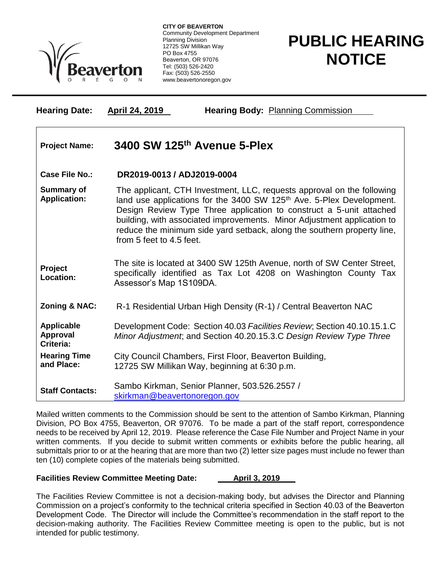

**CITY OF BEAVERTON** Community Development Department Planning Division 12725 SW Millikan Way PO Box 4755 Beaverton, OR 97076 Tel: (503) 526-2420 Fax: (503) 526-2550 www.beavertonoregon.gov

## **PUBLIC HEARING NOTICE**

| <b>Hearing Date:</b>                       | <b>Hearing Body: Planning Commission</b><br>April 24, 2019                                                                                                                                                                                                                                                                                                                                                          |
|--------------------------------------------|---------------------------------------------------------------------------------------------------------------------------------------------------------------------------------------------------------------------------------------------------------------------------------------------------------------------------------------------------------------------------------------------------------------------|
| <b>Project Name:</b>                       | 3400 SW 125th Avenue 5-Plex                                                                                                                                                                                                                                                                                                                                                                                         |
| <b>Case File No.:</b>                      | DR2019-0013 / ADJ2019-0004                                                                                                                                                                                                                                                                                                                                                                                          |
| <b>Summary of</b><br><b>Application:</b>   | The applicant, CTH Investment, LLC, requests approval on the following<br>land use applications for the 3400 SW 125 <sup>th</sup> Ave. 5-Plex Development.<br>Design Review Type Three application to construct a 5-unit attached<br>building, with associated improvements. Minor Adjustment application to<br>reduce the minimum side yard setback, along the southern property line,<br>from 5 feet to 4.5 feet. |
| <b>Project</b><br>Location:                | The site is located at 3400 SW 125th Avenue, north of SW Center Street,<br>specifically identified as Tax Lot 4208 on Washington County Tax<br>Assessor's Map 1S109DA.                                                                                                                                                                                                                                              |
| <b>Zoning &amp; NAC:</b>                   | R-1 Residential Urban High Density (R-1) / Central Beaverton NAC                                                                                                                                                                                                                                                                                                                                                    |
| <b>Applicable</b><br>Approval<br>Criteria: | Development Code: Section 40.03 Facilities Review; Section 40.10.15.1.C<br>Minor Adjustment; and Section 40.20.15.3.C Design Review Type Three                                                                                                                                                                                                                                                                      |
| <b>Hearing Time</b><br>and Place:          | City Council Chambers, First Floor, Beaverton Building,<br>12725 SW Millikan Way, beginning at 6:30 p.m.                                                                                                                                                                                                                                                                                                            |
| <b>Staff Contacts:</b>                     | Sambo Kirkman, Senior Planner, 503.526.2557 /<br>skirkman@beavertonoregon.gov                                                                                                                                                                                                                                                                                                                                       |

Mailed written comments to the Commission should be sent to the attention of Sambo Kirkman, Planning Division, PO Box 4755, Beaverton, OR 97076. To be made a part of the staff report, correspondence needs to be received by April 12, 2019. Please reference the Case File Number and Project Name in your written comments. If you decide to submit written comments or exhibits before the public hearing, all submittals prior to or at the hearing that are more than two (2) letter size pages must include no fewer than ten (10) complete copies of the materials being submitted.

## **Facilities Review Committee Meeting Date: April 3, 2019**

The Facilities Review Committee is not a decision-making body, but advises the Director and Planning Commission on a project's conformity to the technical criteria specified in Section 40.03 of the Beaverton Development Code. The Director will include the Committee's recommendation in the staff report to the decision-making authority. The Facilities Review Committee meeting is open to the public, but is not intended for public testimony.